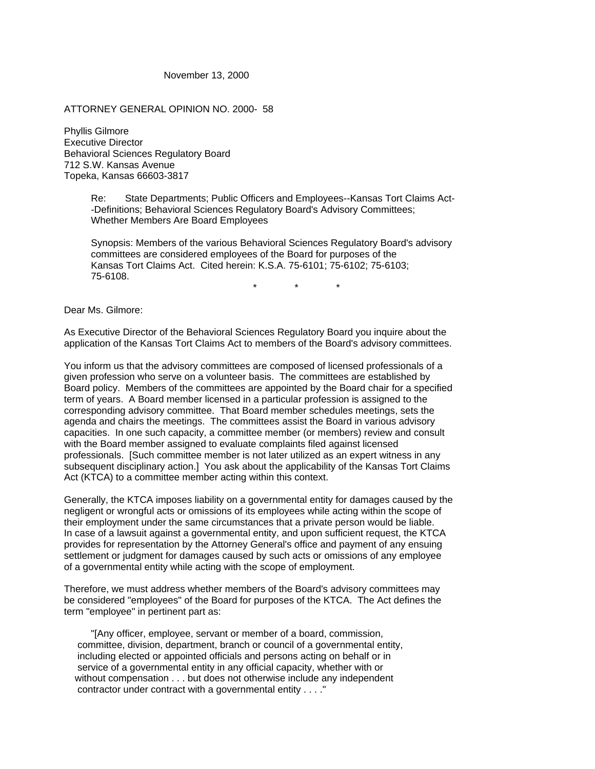November 13, 2000

ATTORNEY GENERAL OPINION NO. 2000- 58

Phyllis Gilmore Executive Director Behavioral Sciences Regulatory Board 712 S.W. Kansas Avenue Topeka, Kansas 66603-3817

> Re: State Departments; Public Officers and Employees--Kansas Tort Claims Act- -Definitions; Behavioral Sciences Regulatory Board's Advisory Committees; Whether Members Are Board Employees

> Synopsis: Members of the various Behavioral Sciences Regulatory Board's advisory committees are considered employees of the Board for purposes of the Kansas Tort Claims Act. Cited herein: K.S.A. 75-6101; 75-6102; 75-6103; 75-6108.

\* \* \*

Dear Ms. Gilmore:

As Executive Director of the Behavioral Sciences Regulatory Board you inquire about the application of the Kansas Tort Claims Act to members of the Board's advisory committees.

You inform us that the advisory committees are composed of licensed professionals of a given profession who serve on a volunteer basis. The committees are established by Board policy. Members of the committees are appointed by the Board chair for a specified term of years. A Board member licensed in a particular profession is assigned to the corresponding advisory committee. That Board member schedules meetings, sets the agenda and chairs the meetings. The committees assist the Board in various advisory capacities. In one such capacity, a committee member (or members) review and consult with the Board member assigned to evaluate complaints filed against licensed professionals. [Such committee member is not later utilized as an expert witness in any subsequent disciplinary action.] You ask about the applicability of the Kansas Tort Claims Act (KTCA) to a committee member acting within this context.

Generally, the KTCA imposes liability on a governmental entity for damages caused by the negligent or wrongful acts or omissions of its employees while acting within the scope of their employment under the same circumstances that a private person would be liable. In case of a lawsuit against a governmental entity, and upon sufficient request, the KTCA provides for representation by the Attorney General's office and payment of any ensuing settlement or judgment for damages caused by such acts or omissions of any employee of a governmental entity while acting with the scope of employment.

Therefore, we must address whether members of the Board's advisory committees may be considered "employees" of the Board for purposes of the KTCA. The Act defines the term "employee" in pertinent part as:

 "[Any officer, employee, servant or member of a board, commission, committee, division, department, branch or council of a governmental entity, including elected or appointed officials and persons acting on behalf or in service of a governmental entity in any official capacity, whether with or without compensation . . . but does not otherwise include any independent contractor under contract with a governmental entity . . . ."